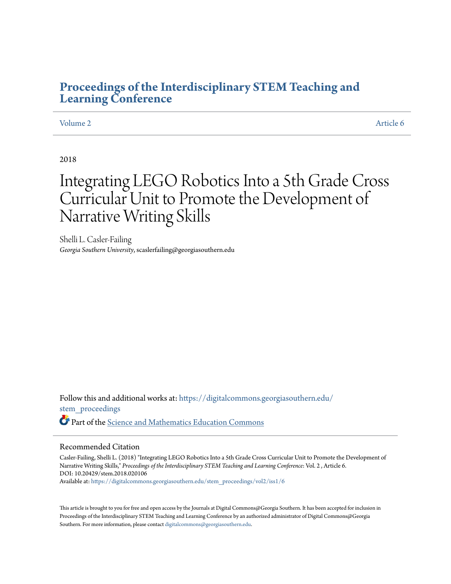## **[Proceedings of the Interdisciplinary STEM Teaching and](https://digitalcommons.georgiasouthern.edu/stem_proceedings?utm_source=digitalcommons.georgiasouthern.edu%2Fstem_proceedings%2Fvol2%2Fiss1%2F6&utm_medium=PDF&utm_campaign=PDFCoverPages) [Learning Conference](https://digitalcommons.georgiasouthern.edu/stem_proceedings?utm_source=digitalcommons.georgiasouthern.edu%2Fstem_proceedings%2Fvol2%2Fiss1%2F6&utm_medium=PDF&utm_campaign=PDFCoverPages)**

#### [Volume 2](https://digitalcommons.georgiasouthern.edu/stem_proceedings/vol2?utm_source=digitalcommons.georgiasouthern.edu%2Fstem_proceedings%2Fvol2%2Fiss1%2F6&utm_medium=PDF&utm_campaign=PDFCoverPages) [Article 6](https://digitalcommons.georgiasouthern.edu/stem_proceedings/vol2/iss1/6?utm_source=digitalcommons.georgiasouthern.edu%2Fstem_proceedings%2Fvol2%2Fiss1%2F6&utm_medium=PDF&utm_campaign=PDFCoverPages)

#### 2018

# Integrating LEGO Robotics Into a 5th Grade Cross Curricular Unit to Promote the Development of Narrative Writing Skills

Shelli L. Casler-Failing *Georgia Southern University*, scaslerfailing@georgiasouthern.edu

Follow this and additional works at: [https://digitalcommons.georgiasouthern.edu/](https://digitalcommons.georgiasouthern.edu/stem_proceedings?utm_source=digitalcommons.georgiasouthern.edu%2Fstem_proceedings%2Fvol2%2Fiss1%2F6&utm_medium=PDF&utm_campaign=PDFCoverPages) [stem\\_proceedings](https://digitalcommons.georgiasouthern.edu/stem_proceedings?utm_source=digitalcommons.georgiasouthern.edu%2Fstem_proceedings%2Fvol2%2Fiss1%2F6&utm_medium=PDF&utm_campaign=PDFCoverPages) Part of the [Science and Mathematics Education Commons](http://network.bepress.com/hgg/discipline/800?utm_source=digitalcommons.georgiasouthern.edu%2Fstem_proceedings%2Fvol2%2Fiss1%2F6&utm_medium=PDF&utm_campaign=PDFCoverPages)

#### Recommended Citation

Casler-Failing, Shelli L. (2018) "Integrating LEGO Robotics Into a 5th Grade Cross Curricular Unit to Promote the Development of Narrative Writing Skills," *Proceedings of the Interdisciplinary STEM Teaching and Learning Conference*: Vol. 2 , Article 6. DOI: 10.20429/stem.2018.020106 Available at: [https://digitalcommons.georgiasouthern.edu/stem\\_proceedings/vol2/iss1/6](https://digitalcommons.georgiasouthern.edu/stem_proceedings/vol2/iss1/6?utm_source=digitalcommons.georgiasouthern.edu%2Fstem_proceedings%2Fvol2%2Fiss1%2F6&utm_medium=PDF&utm_campaign=PDFCoverPages)

This article is brought to you for free and open access by the Journals at Digital Commons@Georgia Southern. It has been accepted for inclusion in Proceedings of the Interdisciplinary STEM Teaching and Learning Conference by an authorized administrator of Digital Commons@Georgia Southern. For more information, please contact [digitalcommons@georgiasouthern.edu.](mailto:digitalcommons@georgiasouthern.edu)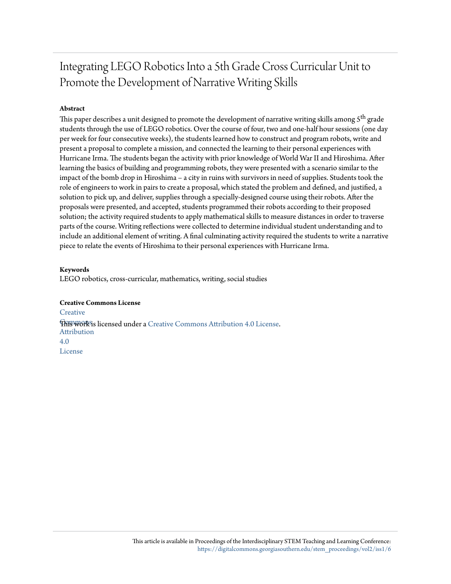## Integrating LEGO Robotics Into a 5th Grade Cross Curricular Unit to Promote the Development of Narrative Writing Skills

#### **Abstract**

This paper describes a unit designed to promote the development of narrative writing skills among  $5<sup>th</sup>$  grade students through the use of LEGO robotics. Over the course of four, two and one-half hour sessions (one day per week for four consecutive weeks), the students learned how to construct and program robots, write and present a proposal to complete a mission, and connected the learning to their personal experiences with Hurricane Irma. The students began the activity with prior knowledge of World War II and Hiroshima. After learning the basics of building and programming robots, they were presented with a scenario similar to the impact of the bomb drop in Hiroshima – a city in ruins with survivors in need of supplies. Students took the role of engineers to work in pairs to create a proposal, which stated the problem and defined, and justified, a solution to pick up, and deliver, supplies through a specially-designed course using their robots. After the proposals were presented, and accepted, students programmed their robots according to their proposed solution; the activity required students to apply mathematical skills to measure distances in order to traverse parts of the course. Writing reflections were collected to determine individual student understanding and to include an additional element of writing. A final culminating activity required the students to write a narrative piece to relate the events of Hiroshima to their personal experiences with Hurricane Irma.

#### **Keywords**

LEGO robotics, cross-curricular, mathematics, writing, social studies

**Creative Commons License [Creative](http://creativecommons.org/licenses/by/4.0/) This work is licensed under a** [Creative Commons Attribution 4.0 License.](http://creativecommons.org/licenses/by/4.0/) Attribution 4.0 License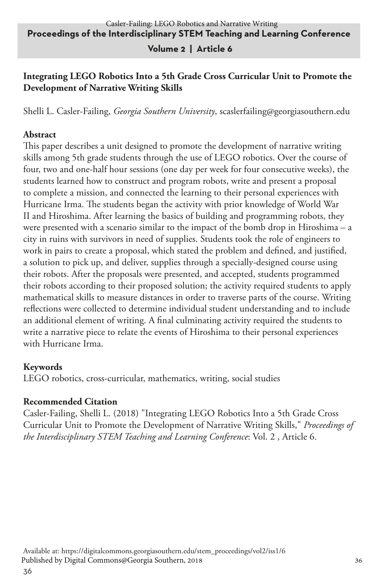#### **Volume 2 | Article 6**

#### **Integrating LEGO Robotics Into a 5th Grade Cross Curricular Unit to Promote the Development of Narrative Writing Skills**

Shelli L. Casler-Failing, *Georgia Southern University*, scaslerfailing@georgiasouthern.edu

#### **Abstract**

This paper describes a unit designed to promote the development of narrative writing skills among 5th grade students through the use of LEGO robotics. Over the course of four, two and one-half hour sessions (one day per week for four consecutive weeks), the students learned how to construct and program robots, write and present a proposal to complete a mission, and connected the learning to their personal experiences with Hurricane Irma. The students began the activity with prior knowledge of World War II and Hiroshima. After learning the basics of building and programming robots, they were presented with a scenario similar to the impact of the bomb drop in Hiroshima – a city in ruins with survivors in need of supplies. Students took the role of engineers to work in pairs to create a proposal, which stated the problem and defined, and justified, a solution to pick up, and deliver, supplies through a specially-designed course using their robots. After the proposals were presented, and accepted, students programmed their robots according to their proposed solution; the activity required students to apply mathematical skills to measure distances in order to traverse parts of the course. Writing reflections were collected to determine individual student understanding and to include an additional element of writing. A final culminating activity required the students to write a narrative piece to relate the events of Hiroshima to their personal experiences with Hurricane Irma.

#### **Keywords**

LEGO robotics, cross-curricular, mathematics, writing, social studies

#### **Recommended Citation**

Casler-Failing, Shelli L. (2018) "Integrating LEGO Robotics Into a 5th Grade Cross Curricular Unit to Promote the Development of Narrative Writing Skills," *Proceedings of the Interdisciplinary STEM Teaching and Learning Conference*: Vol. 2 , Article 6.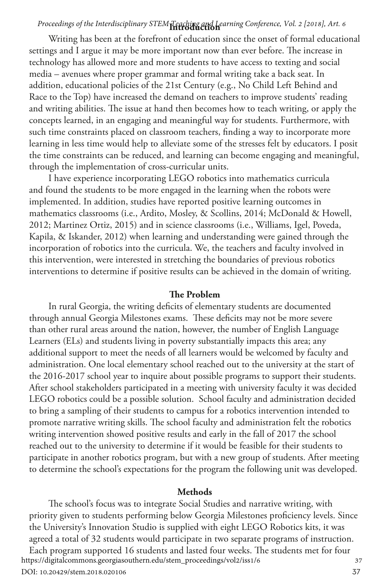### **Introduction** *Proceedings of the Interdisciplinary STEM Teaching and Learning Conference, Vol. 2 [2018], Art. 6*

Writing has been at the forefront of education since the onset of formal educational settings and I argue it may be more important now than ever before. The increase in technology has allowed more and more students to have access to texting and social media – avenues where proper grammar and formal writing take a back seat. In addition, educational policies of the 21st Century (e.g., No Child Left Behind and Race to the Top) have increased the demand on teachers to improve students' reading and writing abilities. The issue at hand then becomes how to teach writing, or apply the concepts learned, in an engaging and meaningful way for students. Furthermore, with such time constraints placed on classroom teachers, finding a way to incorporate more learning in less time would help to alleviate some of the stresses felt by educators. I posit the time constraints can be reduced, and learning can become engaging and meaningful, through the implementation of cross-curricular units.

I have experience incorporating LEGO robotics into mathematics curricula and found the students to be more engaged in the learning when the robots were implemented. In addition, studies have reported positive learning outcomes in mathematics classrooms (i.e., Ardito, Mosley, & Scollins, 2014; McDonald & Howell, 2012; Martinez Ortiz, 2015) and in science classrooms (i.e., Williams, Igel, Poveda, Kapila, & Iskander, 2012) when learning and understanding were gained through the incorporation of robotics into the curricula. We, the teachers and faculty involved in this intervention, were interested in stretching the boundaries of previous robotics interventions to determine if positive results can be achieved in the domain of writing.

#### **The Problem**

In rural Georgia, the writing deficits of elementary students are documented through annual Georgia Milestones exams. These deficits may not be more severe than other rural areas around the nation, however, the number of English Language Learners (ELs) and students living in poverty substantially impacts this area; any additional support to meet the needs of all learners would be welcomed by faculty and administration. One local elementary school reached out to the university at the start of the 2016-2017 school year to inquire about possible programs to support their students. After school stakeholders participated in a meeting with university faculty it was decided LEGO robotics could be a possible solution. School faculty and administration decided to bring a sampling of their students to campus for a robotics intervention intended to promote narrative writing skills. The school faculty and administration felt the robotics writing intervention showed positive results and early in the fall of 2017 the school reached out to the university to determine if it would be feasible for their students to participate in another robotics program, but with a new group of students. After meeting to determine the school's expectations for the program the following unit was developed.

#### **Methods**

The school's focus was to integrate Social Studies and narrative writing, with priority given to students performing below Georgia Milestones proficiency levels. Since the University's Innovation Studio is supplied with eight LEGO Robotics kits, it was agreed a total of 32 students would participate in two separate programs of instruction. Each program supported 16 students and lasted four weeks. The students met for four<br>tps://digitalcommons.georgiasouthern.edu/stem\_proceedings/vol2/iss1/6 https://digitalcommons.georgiasouthern.edu/stem\_proceedings/vol2/iss1/6

DOI: 10.20429/stem.2018.020106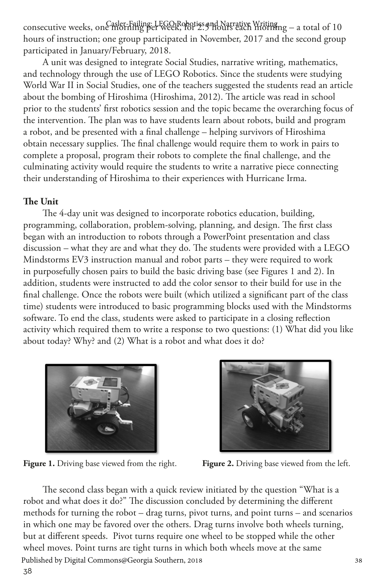consecutive weeks, one morning per week, horiss and Narrative Writing – a total of 10 hours of instruction; one group participated in November, 2017 and the second group participated in January/February, 2018.

A unit was designed to integrate Social Studies, narrative writing, mathematics, and technology through the use of LEGO Robotics. Since the students were studying World War II in Social Studies, one of the teachers suggested the students read an article about the bombing of Hiroshima (Hiroshima, 2012). The article was read in school prior to the students' first robotics session and the topic became the overarching focus of the intervention. The plan was to have students learn about robots, build and program a robot, and be presented with a final challenge – helping survivors of Hiroshima obtain necessary supplies. The final challenge would require them to work in pairs to complete a proposal, program their robots to complete the final challenge, and the culminating activity would require the students to write a narrative piece connecting their understanding of Hiroshima to their experiences with Hurricane Irma.

#### **The Unit**

The 4-day unit was designed to incorporate robotics education, building, programming, collaboration, problem-solving, planning, and design. The first class began with an introduction to robots through a PowerPoint presentation and class discussion – what they are and what they do. The students were provided with a LEGO Mindstorms EV3 instruction manual and robot parts – they were required to work in purposefully chosen pairs to build the basic driving base (see Figures 1 and 2). In addition, students were instructed to add the color sensor to their build for use in the final challenge. Once the robots were built (which utilized a significant part of the class time) students were introduced to basic programming blocks used with the Mindstorms software. To end the class, students were asked to participate in a closing reflection activity which required them to write a response to two questions: (1) What did you like about today? Why? and (2) What is a robot and what does it do?



Figure 1. Driving base viewed from the right. Figure 2. Driving base viewed from the left.



38 The second class began with a quick review initiated by the question "What is a robot and what does it do?" The discussion concluded by determining the different methods for turning the robot – drag turns, pivot turns, and point turns – and scenarios in which one may be favored over the others. Drag turns involve both wheels turning, but at different speeds. Pivot turns require one wheel to be stopped while the other wheel moves. Point turns are tight turns in which both wheels move at the same Published by Digital Commons@Georgia Southern, 2018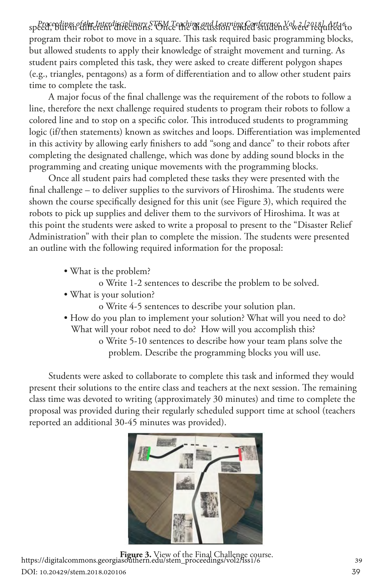sp*eed, edings of the Interdisciplinary STEM Teaching and Learning Conference, Yok ele<sup>0</sup>tegrafied <sup>6</sup>to* program their robot to move in a square. This task required basic programming blocks, but allowed students to apply their knowledge of straight movement and turning. As student pairs completed this task, they were asked to create different polygon shapes (e.g., triangles, pentagons) as a form of differentiation and to allow other student pairs time to complete the task.

A major focus of the final challenge was the requirement of the robots to follow a line, therefore the next challenge required students to program their robots to follow a colored line and to stop on a specific color. This introduced students to programming logic (if/then statements) known as switches and loops. Differentiation was implemented in this activity by allowing early finishers to add "song and dance" to their robots after completing the designated challenge, which was done by adding sound blocks in the programming and creating unique movements with the programming blocks.

Once all student pairs had completed these tasks they were presented with the final challenge – to deliver supplies to the survivors of Hiroshima. The students were shown the course specifically designed for this unit (see Figure 3), which required the robots to pick up supplies and deliver them to the survivors of Hiroshima. It was at this point the students were asked to write a proposal to present to the "Disaster Relief Administration" with their plan to complete the mission. The students were presented an outline with the following required information for the proposal:

- What is the problem?
	- o Write 1-2 sentences to describe the problem to be solved.
- What is your solution?
	- o Write 4-5 sentences to describe your solution plan.
- How do you plan to implement your solution? What will you need to do? What will your robot need to do? How will you accomplish this? o Write 5-10 sentences to describe how your team plans solve the
	- problem. Describe the programming blocks you will use.

Students were asked to collaborate to complete this task and informed they would present their solutions to the entire class and teachers at the next session. The remaining class time was devoted to writing (approximately 30 minutes) and time to complete the proposal was provided during their regularly scheduled support time at school (teachers reported an additional 30-45 minutes was provided).



**Figure 3.** View of the Final Challenge course.<br>39 https://digitalcommons.georgiasouthern.edu/stem\_proceedings/vol2/iss1/6 DOI: 10.20429/stem.2018.020106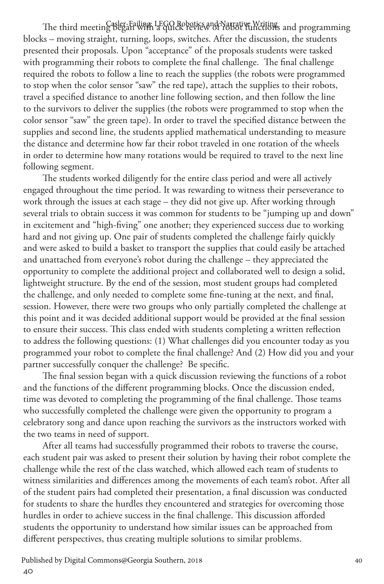The third meeting Began with a quick review of Yatrative Writings and programming blocks – moving straight, turning, loops, switches. After the discussion, the students presented their proposals. Upon "acceptance" of the proposals students were tasked with programming their robots to complete the final challenge. The final challenge required the robots to follow a line to reach the supplies (the robots were programmed to stop when the color sensor "saw" the red tape), attach the supplies to their robots, travel a specified distance to another line following section, and then follow the line to the survivors to deliver the supplies (the robots were programmed to stop when the color sensor "saw" the green tape). In order to travel the specified distance between the supplies and second line, the students applied mathematical understanding to measure the distance and determine how far their robot traveled in one rotation of the wheels in order to determine how many rotations would be required to travel to the next line following segment.

The students worked diligently for the entire class period and were all actively engaged throughout the time period. It was rewarding to witness their perseverance to work through the issues at each stage – they did not give up. After working through several trials to obtain success it was common for students to be "jumping up and down" in excitement and "high-fiving" one another; they experienced success due to working hard and not giving up. One pair of students completed the challenge fairly quickly and were asked to build a basket to transport the supplies that could easily be attached and unattached from everyone's robot during the challenge – they appreciated the opportunity to complete the additional project and collaborated well to design a solid, lightweight structure. By the end of the session, most student groups had completed the challenge, and only needed to complete some fine-tuning at the next, and final, session. However, there were two groups who only partially completed the challenge at this point and it was decided additional support would be provided at the final session to ensure their success. This class ended with students completing a written reflection to address the following questions: (1) What challenges did you encounter today as you programmed your robot to complete the final challenge? And (2) How did you and your partner successfully conquer the challenge? Be specific.

The final session began with a quick discussion reviewing the functions of a robot and the functions of the different programming blocks. Once the discussion ended, time was devoted to completing the programming of the final challenge. Those teams who successfully completed the challenge were given the opportunity to program a celebratory song and dance upon reaching the survivors as the instructors worked with the two teams in need of support.

After all teams had successfully programmed their robots to traverse the course, each student pair was asked to present their solution by having their robot complete the challenge while the rest of the class watched, which allowed each team of students to witness similarities and differences among the movements of each team's robot. After all of the student pairs had completed their presentation, a final discussion was conducted for students to share the hurdles they encountered and strategies for overcoming those hurdles in order to achieve success in the final challenge. This discussion afforded students the opportunity to understand how similar issues can be approached from different perspectives, thus creating multiple solutions to similar problems.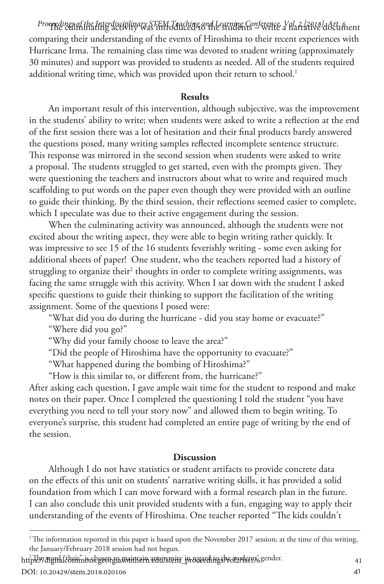Proceedings of the Interdisciplinary STEM Teaching and Learning Conference, Yol, 2 [2018], Actument comparing their understanding of the events of Hiroshima to their recent experiences with Hurricane Irma. The remaining class time was devoted to student writing (approximately 30 minutes) and support was provided to students as needed. All of the students required additional writing time, which was provided upon their return to school. $^1$ 

#### **Results**

An important result of this intervention, although subjective, was the improvement in the students' ability to write; when students were asked to write a reflection at the end of the first session there was a lot of hesitation and their final products barely answered the questions posed, many writing samples reflected incomplete sentence structure. This response was mirrored in the second session when students were asked to write a proposal. The students struggled to get started, even with the prompts given. They were questioning the teachers and instructors about what to write and required much scaffolding to put words on the paper even though they were provided with an outline to guide their thinking. By the third session, their reflections seemed easier to complete, which I speculate was due to their active engagement during the session.

When the culminating activity was announced, although the students were not excited about the writing aspect, they were able to begin writing rather quickly. It was impressive to see 15 of the 16 students feverishly writing - some even asking for additional sheets of paper! One student, who the teachers reported had a history of struggling to organize their<sup>2</sup> thoughts in order to complete writing assignments, was facing the same struggle with this activity. When I sat down with the student I asked specific questions to guide their thinking to support the facilitation of the writing assignment. Some of the questions I posed were:

"What did you do during the hurricane - did you stay home or evacuate?"

"Where did you go?"

"Why did your family choose to leave the area?"

"Did the people of Hiroshima have the opportunity to evacuate?"

"What happened during the bombing of Hiroshima?"

"How is this similar to, or different from, the hurricane?"

After asking each question, I gave ample wait time for the student to respond and make notes on their paper. Once I completed the questioning I told the student "you have everything you need to tell your story now" and allowed them to begin writing. To everyone's surprise, this student had completed an entire page of writing by the end of the session.

#### **Discussion**

Although I do not have statistics or student artifacts to provide concrete data on the effects of this unit on students' narrative writing skills, it has provided a solid foundation from which I can move forward with a formal research plan in the future. I can also conclude this unit provided students with a fun, engaging way to apply their understanding of the events of Hiroshima. One teacher reported "The kids couldn't

https://digitaliebnimions.georgiasouthein.edu/stem\_proceedings/vol2/dss1%eender.com

DOI: 10.20429/stem.2018.020106

<sup>1</sup> The information reported in this paper is based upon the November 2017 session; at the time of this writing, the January/February 2018 session had not begun.